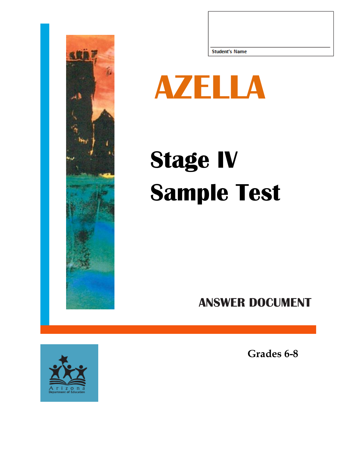



## **Stage IV Sample Test**

## **ANSWER DOCUMENT**



**Grades 6-8**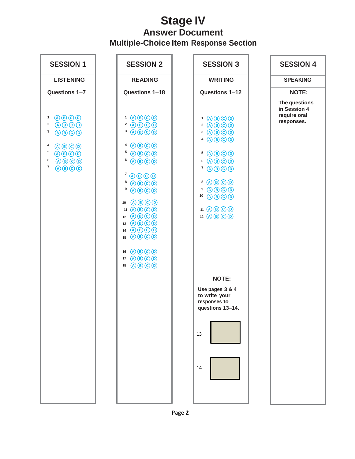## **Stage IV Answer Document Multiple-Choice Item Response Section**

| <b>SESSION 1</b>                                                                                                                                                                                                                                                                                                                                                                                | <b>SESSION 2</b>                                                                                                                                                                                                                                                                                                                                                                                                                           | <b>SESSION 3</b>                                                                                                                                                                                                                                                                                                                                                                                                                      | <b>SESSION 4</b>                                            |
|-------------------------------------------------------------------------------------------------------------------------------------------------------------------------------------------------------------------------------------------------------------------------------------------------------------------------------------------------------------------------------------------------|--------------------------------------------------------------------------------------------------------------------------------------------------------------------------------------------------------------------------------------------------------------------------------------------------------------------------------------------------------------------------------------------------------------------------------------------|---------------------------------------------------------------------------------------------------------------------------------------------------------------------------------------------------------------------------------------------------------------------------------------------------------------------------------------------------------------------------------------------------------------------------------------|-------------------------------------------------------------|
| <b>LISTENING</b>                                                                                                                                                                                                                                                                                                                                                                                | <b>READING</b>                                                                                                                                                                                                                                                                                                                                                                                                                             | <b>WRITING</b>                                                                                                                                                                                                                                                                                                                                                                                                                        | <b>SPEAKING</b>                                             |
| Questions 1-7                                                                                                                                                                                                                                                                                                                                                                                   | Questions 1-18                                                                                                                                                                                                                                                                                                                                                                                                                             | Questions 1-12                                                                                                                                                                                                                                                                                                                                                                                                                        | <b>NOTE:</b>                                                |
| $\bigcirc$ $\bigcirc$ $\bigcirc$ $\bigcirc$<br>1<br>$\bigcirc$ $\bigcirc$ $\bigcirc$ $\bigcirc$<br>$\mathbf 2$<br>$\bigcirc$ $\bigcirc$ $\bigcirc$ $\bigcirc$<br>3<br>$\bigcirc$ $\bigcirc$ $\bigcirc$ $\bigcirc$<br>4<br>5<br>$\bigcirc$ $\bigcirc$ $\bigcirc$ $\bigcirc$<br>6<br>$\bigcirc$ $\bigcirc$ $\bigcirc$ $\bigcirc$<br>$\overline{7}$<br>$\bigcirc$ $\bigcirc$ $\bigcirc$ $\bigcirc$ | $1$ $0$ $0$ $0$ $0$<br>$2$ (A) $\bigcirc$ $\bigcirc$ $\bigcirc$<br>$3$ ABOO<br>$4$ ABCD<br>$5$ $\bigcirc$ $\bigcirc$ $\bigcirc$ $\bigcirc$ $\bigcirc$<br>$6$ ABOO<br>$7$ $\odot$ $\odot$ $\odot$ $\odot$<br>8<br>$\bigcirc$ $\bigcirc$ $\bigcirc$ $\bigcirc$<br>9<br>$\bigcirc$ $\bigcirc$ $\bigcirc$ $\bigcirc$ $\bigcirc$<br>10 ABCO<br>11 ABOO<br>12 ABOO<br>13 ABOO<br>14 ABOO<br>15 ABO <sub>O</sub><br>16 ABCO<br>17 ABCO<br>18 ABCO | $1$ $0$ $0$ $0$ $0$<br>$2$ $\Theta$ $\Theta$ $\Theta$<br>$3$ ABCD<br>$4$ ABCO<br>$5$ $\bigcirc$ $\bigcirc$ $\bigcirc$ $\bigcirc$<br>$6$ $\bigcirc$ $\bigcirc$ $\bigcirc$ $\bigcirc$<br>$7$ $\odot$ $\odot$ $\odot$<br>8 A B C D<br>$9$ $0$ $0$ $0$ $0$<br>$\bigcirc$ $\bigcirc$ $\bigcirc$ $\bigcirc$<br>10<br>11 ABOD<br>12 ABOO<br><b>NOTE:</b><br>Use pages 3 & 4<br>to write your<br>responses to<br>questions 13-14.<br>13<br>14 | The questions<br>in Session 4<br>require oral<br>responses. |
|                                                                                                                                                                                                                                                                                                                                                                                                 |                                                                                                                                                                                                                                                                                                                                                                                                                                            |                                                                                                                                                                                                                                                                                                                                                                                                                                       |                                                             |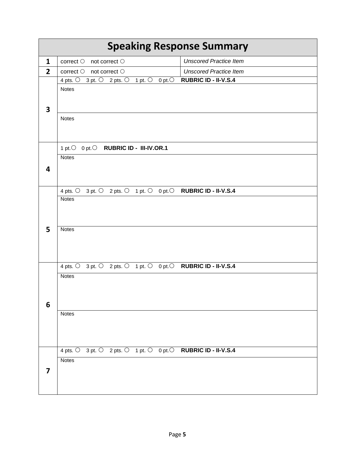| <b>Speaking Response Summary</b> |                                                                                                                    |                               |  |  |
|----------------------------------|--------------------------------------------------------------------------------------------------------------------|-------------------------------|--|--|
| $\mathbf{1}$                     | correct $\bigcirc$ not correct $\bigcirc$                                                                          | <b>Unscored Practice Item</b> |  |  |
| $\overline{2}$                   | correct $\bigcirc$ not correct $\bigcirc$                                                                          | <b>Unscored Practice Item</b> |  |  |
|                                  | 4 pts. $\bigcirc$ 3 pt. $\bigcirc$ 2 pts. $\bigcirc$ 1 pt. $\bigcirc$<br>0 pt. $\overline{O}$                      | <b>RUBRIC ID - II-V.S.4</b>   |  |  |
|                                  | <b>Notes</b>                                                                                                       |                               |  |  |
|                                  |                                                                                                                    |                               |  |  |
| 3                                |                                                                                                                    |                               |  |  |
|                                  | <b>Notes</b>                                                                                                       |                               |  |  |
|                                  |                                                                                                                    |                               |  |  |
|                                  |                                                                                                                    |                               |  |  |
|                                  | 1 pt. O 0 pt. O RUBRIC ID - III-IV.OR.1                                                                            |                               |  |  |
|                                  | <b>Notes</b>                                                                                                       |                               |  |  |
| 4                                |                                                                                                                    |                               |  |  |
|                                  |                                                                                                                    |                               |  |  |
|                                  | 4 pts. $\bigcirc$ 3 pt. $\bigcirc$ 2 pts. $\bigcirc$ 1 pt. $\bigcirc$ 0 pt. $\bigcirc$ <b>RUBRIC ID - II-V.S.4</b> |                               |  |  |
|                                  | <b>Notes</b>                                                                                                       |                               |  |  |
|                                  |                                                                                                                    |                               |  |  |
|                                  |                                                                                                                    |                               |  |  |
| 5                                | <b>Notes</b>                                                                                                       |                               |  |  |
|                                  |                                                                                                                    |                               |  |  |
|                                  |                                                                                                                    |                               |  |  |
|                                  |                                                                                                                    |                               |  |  |
|                                  | 4 pts. 0 3 pt. 0 2 pts. 0 1 pt. 0 0 pt. 0 RUBRIC ID - II-V.S.4                                                     |                               |  |  |
|                                  | <b>Notes</b>                                                                                                       |                               |  |  |
|                                  |                                                                                                                    |                               |  |  |
|                                  |                                                                                                                    |                               |  |  |
| 6                                |                                                                                                                    |                               |  |  |
|                                  | <b>Notes</b>                                                                                                       |                               |  |  |
|                                  |                                                                                                                    |                               |  |  |
|                                  |                                                                                                                    |                               |  |  |
|                                  | 4 pts. 0 3 pt. 0 2 pts. 0 1 pt. 0 0 pt. 0 <b>RUBRIC ID - II-V.S.4</b>                                              |                               |  |  |
|                                  | <b>Notes</b>                                                                                                       |                               |  |  |
| $\overline{\mathbf{z}}$          |                                                                                                                    |                               |  |  |
|                                  |                                                                                                                    |                               |  |  |
|                                  |                                                                                                                    |                               |  |  |